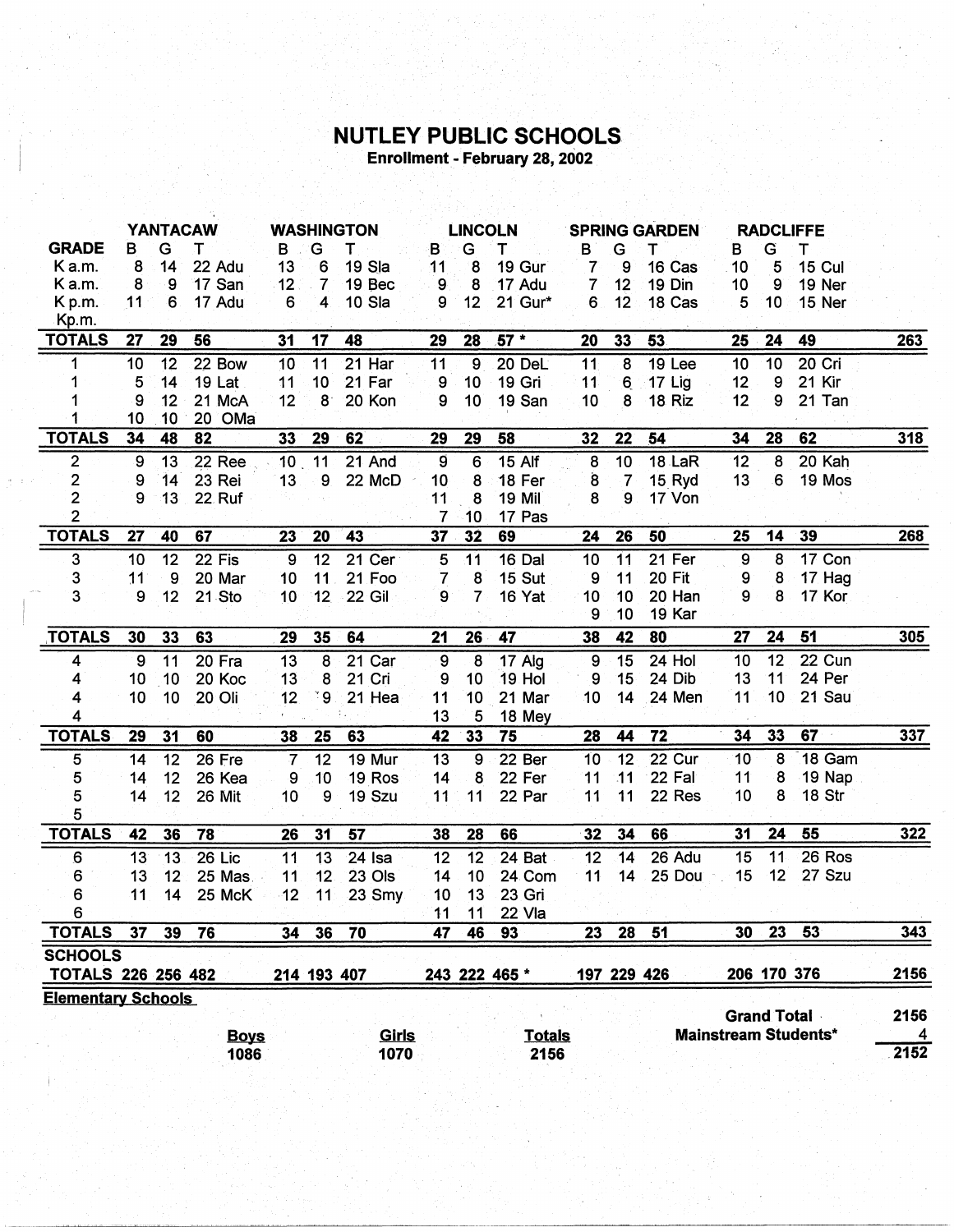## **NUTLEY PUBLIC SCHOOLS**<br>Enrollment - February 28, 2002

|                           |                 | <b>YANTACAW</b> |                        |                          |                 |                        |                 |                     |               |                     |                 |                           |                    |    |                             |                                 |
|---------------------------|-----------------|-----------------|------------------------|--------------------------|-----------------|------------------------|-----------------|---------------------|---------------|---------------------|-----------------|---------------------------|--------------------|----|-----------------------------|---------------------------------|
| <b>GRADE</b>              | в               | G               | т                      | B                        | G               | <b>WASHINGTON</b><br>Τ | B               | <b>LINCOLN</b><br>G | т             |                     | G               | <b>SPRING GARDEN</b><br>T |                    | G  | <b>RADCLIFFE</b><br>Т       |                                 |
| K a.m.                    | 8               | 14              | 22 Adu                 | 13                       | 6               | 19 Sla                 | 11              | 8                   | 19 Gur        | в<br>$\overline{7}$ | 9               | 16 Cas                    | В<br>10            | 5  | <b>15 Cul</b>               |                                 |
| K a.m.                    | 8               | 9               | 17 San                 | 12                       | $\overline{7}$  | 19 Bec                 | $\overline{9}$  | 8                   | 17 Adu        | $\overline{7}$      | 12              | 19 Din                    | 10                 | 9  | 19 Ner                      |                                 |
| Kp.m.                     | 11              | 6               | 17 Adu                 | 6                        | 4               | 10 Sla                 | 9               | 12                  | 21 Gur*       | 6                   | 12              | 18 Cas                    | 5                  | 10 | 15 Ner                      |                                 |
| Kp.m.                     |                 |                 |                        |                          |                 |                        |                 |                     |               |                     |                 |                           |                    |    |                             |                                 |
| <b>TOTALS</b>             | 27              | 29              | 56                     | 31                       | 17              | 48                     | 29              | 28                  | $57*$         | 20                  | 33              | 53                        | 25                 | 24 | 49                          | 263                             |
| 1                         | 10              | 12              | 22 Bow                 | 10                       | 11              | 21 Har                 | 11              | $\overline{9}$      | 20 DeL        | 11                  | $\overline{8}$  | 19 Lee                    | 10                 | 10 | 20 Cri                      |                                 |
| 1                         | 5               | 14              | <b>19 Lat</b>          | 11                       | 10              | 21 Far                 | 9               | 10                  | 19 Gri        | 11                  | $6 \,$          | <b>17 Lig</b>             | 12                 | 9  | 21 Kir                      |                                 |
|                           | 9               | 12              | 21 McA                 | 12                       | 8 <sup>°</sup>  | <b>20 Kon</b>          | 9               | 10                  | 19 San        | 10                  | 8               | 18 Riz                    | 12                 | 9  | 21 Tan                      |                                 |
| 1                         | 10              | 10              | 20 OMa                 |                          |                 |                        |                 |                     |               |                     |                 |                           |                    |    |                             |                                 |
| <b>TOTALS</b>             | 34              | 48              | 82                     | 33                       | 29              | 62                     | 29              | 29                  | 58            | 32                  | 22              | 54                        | 34                 | 28 | 62                          | <b>318</b>                      |
| $\overline{2}$            | $\overline{9}$  | 13              | <b>22 Ree</b>          | $10$ 11                  |                 | 21 And                 | $\overline{9}$  | $6\phantom{1}6$     | $15$ Alf      | 8                   | 10              | <b>18 LaR</b>             | 12                 | 8  | 20 Kah                      |                                 |
| $\overline{\mathbf{c}}$   | 9               | 14              | 23 Rei                 | 13                       | 9               | 22 McD                 | 10              | 8                   | 18 Fer        | $\bf{8}$            | $\overline{7}$  | 15 Ryd                    | 13                 | 6  | 19 Mos                      |                                 |
| $\overline{2}$            | 9               | 13              | <b>22 Ruf</b>          |                          |                 |                        | 11              | 8                   | <b>19 Mil</b> | 8                   | 9               | 17 Von                    |                    |    |                             |                                 |
| $\overline{2}$            |                 |                 |                        |                          |                 |                        | 7               | 10                  | 17 Pas        |                     |                 |                           |                    |    |                             |                                 |
| <b>TOTALS</b>             | 27              | 40              | 67                     | 23                       | 20              | 43                     | 37              | 32                  | 69            | 24                  | 26              | 50                        | 25                 | 14 | 39                          | <b>268</b>                      |
| $\overline{3}$            | 10              | 12              | $22$ Fis               | 9                        | 12              | 21 Cer                 | $\overline{5}$  | $\overline{11}$     | 16 Dal        | 10                  | 11              | $21$ Fer                  | $\overline{9}$     | 8  | 17 Con                      |                                 |
| 3                         | 11              | 9               | 20 Mar                 | 10                       | 11              | 21 Foo                 | 7               | 8                   | <b>15 Sut</b> | 9                   | 11              | 20 Fit                    | 9                  | 8  | 17 Hag                      |                                 |
| 3                         | 9               | 12              | 21 Sto                 | 10 <sub>1</sub>          | 12              | <b>22 Gil</b>          | 9               | $\overline{7}$      | 16 Yat        | 10                  | 10              | 20 Han                    | 9                  | 8  | 17 Kor                      |                                 |
|                           |                 |                 |                        |                          |                 |                        |                 |                     |               | 9                   | 10              | 19 Kar                    |                    |    |                             |                                 |
| <b>TOTALS</b>             | 30              | 33              | 63                     | 29                       | 35              | 64                     | 21              | 26                  | 47            | 38                  | 42              | 80                        | 27                 | 24 | 51                          | 305                             |
| 4                         | 9               | 11              | 20 Fra                 | 13                       | 8               | 21 Car                 | 9               | 8                   | 17 Alg        | 9                   | 15              | 24 Hol                    | 10                 | 12 | 22 Cun                      |                                 |
| 4                         | 10              | 10              | 20 Koc                 | 13                       | 8               | 21 Cri                 | 9               | 10                  | 19 Hol        | 9                   | 15              | 24 Dib                    | 13                 | 11 | 24 Per                      |                                 |
|                           |                 |                 |                        |                          | ۰9              | 21 Hea                 | 11              | 10                  | 21 Mar        | 10                  | 14              | 24 Men                    | 11                 | 10 | 21 Sau                      |                                 |
| 4                         | 10              | 10              | 20 Oli                 | 12                       |                 |                        |                 |                     |               |                     |                 |                           |                    |    |                             |                                 |
| 4                         |                 |                 |                        |                          |                 | ÷.                     | 13              | 5                   | 18 Mey        |                     |                 |                           |                    |    |                             |                                 |
| <b>TOTALS</b>             | 29              | 31              | 60                     | 38                       | 25              | 63                     | 42              | 33                  | 75            | 28                  | 44              | 72                        | 34                 | 33 | $67 -$                      | 337                             |
| 5                         | 14              | 12              | 26 Fre                 | $\overline{\mathcal{L}}$ | 12              | 19 Mur                 | $\overline{13}$ | $\overline{9}$      | 22 Ber        | 10                  | $\overline{12}$ | 22 Cur                    | 10                 | 8  | 18 Gam                      |                                 |
| 5                         | 14              | 12              | 26 Kea                 | 9                        | 10              | 19 Ros                 | 14              | 8                   | 22 Fer        | 11                  | .11             | 22 Fal                    | 11                 | 8  | 19 Nap                      |                                 |
| 5                         | 14              | 12              | 26 Mit                 | 10                       | 9               | 19 Szu                 | 11              | 11                  | 22 Par        | 11                  | 11              | 22 Res                    | 10                 | 8  | 18 Str                      |                                 |
| 5                         |                 |                 |                        |                          |                 |                        |                 |                     |               |                     |                 |                           |                    |    |                             |                                 |
| <b>TOTALS</b>             | 42              | 36              | 78                     | 26                       | 31              | 57                     | 38              | 28                  | 66            | 32                  | 34              | 66                        | 31                 | 24 | 55                          | <u>322</u>                      |
| 6                         | 13              | 13              | 26 Lic                 | 11                       | 13              | $24$ Isa               | 12              | $\overline{12}$     | 24 Bat        | 12                  | 14              | 26 Adu                    | 15                 | 11 | 26 Ros                      |                                 |
| 6                         | 13              | 12 <sup>°</sup> | 25 Mas                 | 11                       | 12 <sub>2</sub> | <b>23 Ols</b>          | 14              | 10                  | 24 Com        | 11                  | 14              | 25 Dou                    | 15                 | 12 | 27 Szu                      |                                 |
| 6                         | 11 <sub>1</sub> |                 | 14 25 McK 12 11 23 Smy |                          |                 |                        | 10              | 13                  | 23 Gri        |                     |                 |                           |                    |    |                             |                                 |
| 6                         |                 |                 |                        |                          |                 |                        | 11              | 11                  | 22 Vla        |                     |                 |                           |                    |    |                             |                                 |
| <b>TOTALS</b>             | 37              | 39              | 76                     | 34                       | 36              | 70                     | 47              | 46                  | 93            | 23                  | 28              | 51                        | 30                 | 23 | 53                          |                                 |
| <b>SCHOOLS</b>            |                 |                 |                        |                          |                 |                        |                 |                     |               |                     |                 |                           |                    |    |                             | 343                             |
| <b>TOTALS 226 256 482</b> |                 |                 |                        |                          | 214 193 407     |                        |                 |                     | 243 222 465 * |                     | 197 229 426     |                           | 206 170 376        |    |                             | 2156                            |
| <b>Elementary Schools</b> |                 |                 |                        |                          |                 |                        |                 |                     |               |                     |                 |                           |                    |    |                             |                                 |
|                           |                 |                 | <b>Boys</b>            |                          |                 | <u>Girls</u>           |                 |                     | <b>Totals</b> |                     |                 |                           | <b>Grand Total</b> |    | <b>Mainstream Students*</b> | 2156<br>$\overline{\mathbf{r}}$ |